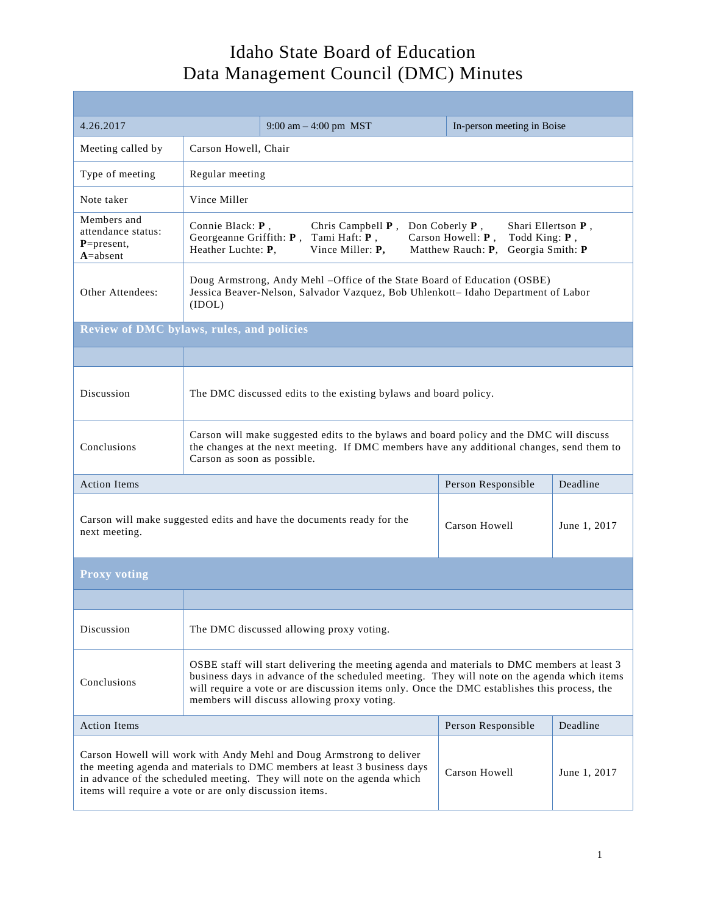| 4.26.2017                                                                                                                                                                                                                                                                              |                                                                                                                                                                                                                                                                                                                                           | 9:00 am $-$ 4:00 pm MST | In-person meeting in Boise |          |  |
|----------------------------------------------------------------------------------------------------------------------------------------------------------------------------------------------------------------------------------------------------------------------------------------|-------------------------------------------------------------------------------------------------------------------------------------------------------------------------------------------------------------------------------------------------------------------------------------------------------------------------------------------|-------------------------|----------------------------|----------|--|
| Meeting called by                                                                                                                                                                                                                                                                      | Carson Howell, Chair                                                                                                                                                                                                                                                                                                                      |                         |                            |          |  |
| Type of meeting                                                                                                                                                                                                                                                                        | Regular meeting                                                                                                                                                                                                                                                                                                                           |                         |                            |          |  |
| Note taker                                                                                                                                                                                                                                                                             | Vince Miller                                                                                                                                                                                                                                                                                                                              |                         |                            |          |  |
| Members and<br>attendance status:<br>$P = present,$<br>$A = absent$                                                                                                                                                                                                                    | Connie Black: P,<br>Don Coberly $P$ ,<br>Shari Ellertson P,<br>Chris Campbell $P$ ,<br>Georgeanne Griffith: $P$ ,<br>Tami Haft: P,<br>Carson Howell: P,<br>Todd King: P,<br>Heather Luchte: P.<br>Vince Miller: P,<br>Matthew Rauch: P.<br>Georgia Smith: P                                                                               |                         |                            |          |  |
| Other Attendees:                                                                                                                                                                                                                                                                       | Doug Armstrong, Andy Mehl -Office of the State Board of Education (OSBE)<br>Jessica Beaver-Nelson, Salvador Vazquez, Bob Uhlenkott- Idaho Department of Labor<br>(IDOL)                                                                                                                                                                   |                         |                            |          |  |
| <b>Review of DMC bylaws, rules, and policies</b>                                                                                                                                                                                                                                       |                                                                                                                                                                                                                                                                                                                                           |                         |                            |          |  |
|                                                                                                                                                                                                                                                                                        |                                                                                                                                                                                                                                                                                                                                           |                         |                            |          |  |
| Discussion                                                                                                                                                                                                                                                                             | The DMC discussed edits to the existing bylaws and board policy.                                                                                                                                                                                                                                                                          |                         |                            |          |  |
| Conclusions                                                                                                                                                                                                                                                                            | Carson will make suggested edits to the bylaws and board policy and the DMC will discuss<br>the changes at the next meeting. If DMC members have any additional changes, send them to<br>Carson as soon as possible.                                                                                                                      |                         |                            |          |  |
| <b>Action Items</b>                                                                                                                                                                                                                                                                    |                                                                                                                                                                                                                                                                                                                                           |                         | Person Responsible         | Deadline |  |
| Carson will make suggested edits and have the documents ready for the<br>next meeting.                                                                                                                                                                                                 |                                                                                                                                                                                                                                                                                                                                           | Carson Howell           | June 1, 2017               |          |  |
| <b>Proxy voting</b>                                                                                                                                                                                                                                                                    |                                                                                                                                                                                                                                                                                                                                           |                         |                            |          |  |
|                                                                                                                                                                                                                                                                                        |                                                                                                                                                                                                                                                                                                                                           |                         |                            |          |  |
| Discussion                                                                                                                                                                                                                                                                             | The DMC discussed allowing proxy voting.                                                                                                                                                                                                                                                                                                  |                         |                            |          |  |
| Conclusions                                                                                                                                                                                                                                                                            | OSBE staff will start delivering the meeting agenda and materials to DMC members at least 3<br>business days in advance of the scheduled meeting. They will note on the agenda which items<br>will require a vote or are discussion items only. Once the DMC establishes this process, the<br>members will discuss allowing proxy voting. |                         |                            |          |  |
| <b>Action Items</b>                                                                                                                                                                                                                                                                    |                                                                                                                                                                                                                                                                                                                                           |                         | Person Responsible         | Deadline |  |
| Carson Howell will work with Andy Mehl and Doug Armstrong to deliver<br>the meeting agenda and materials to DMC members at least 3 business days<br>in advance of the scheduled meeting. They will note on the agenda which<br>items will require a vote or are only discussion items. |                                                                                                                                                                                                                                                                                                                                           | Carson Howell           | June 1, 2017               |          |  |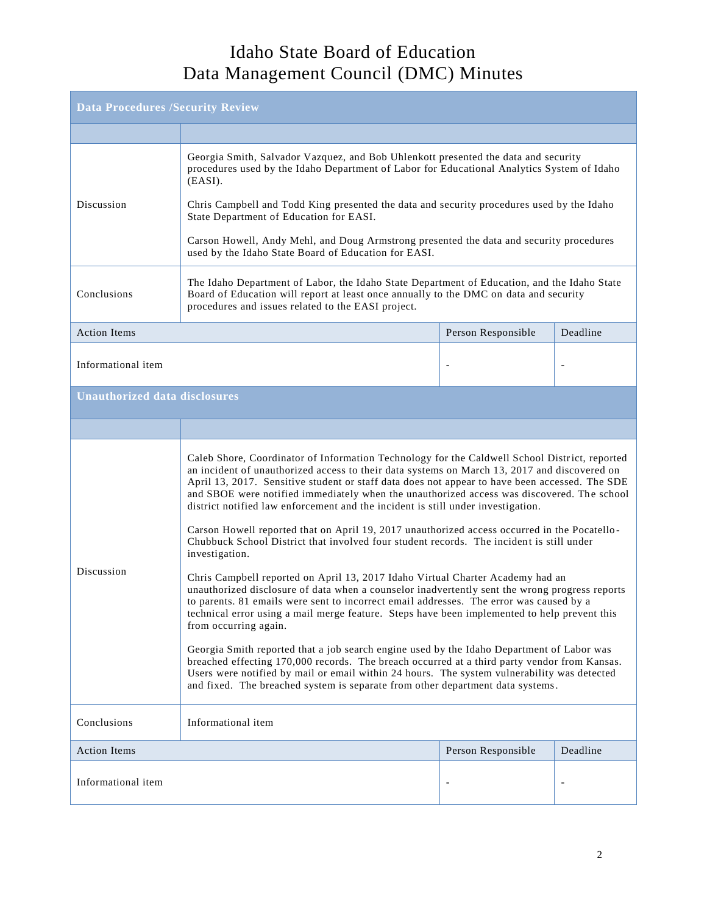| <b>Data Procedures /Security Review</b> |                                                                                                                                                                                                                                                                                                                                                                                                                                                                                                                                                                                                                                                                                                                                                                                                                                                                                                                                                                                                                                                                                                                                                                                                                                                                                                                                                                                                                                                                                       |                    |                          |  |
|-----------------------------------------|---------------------------------------------------------------------------------------------------------------------------------------------------------------------------------------------------------------------------------------------------------------------------------------------------------------------------------------------------------------------------------------------------------------------------------------------------------------------------------------------------------------------------------------------------------------------------------------------------------------------------------------------------------------------------------------------------------------------------------------------------------------------------------------------------------------------------------------------------------------------------------------------------------------------------------------------------------------------------------------------------------------------------------------------------------------------------------------------------------------------------------------------------------------------------------------------------------------------------------------------------------------------------------------------------------------------------------------------------------------------------------------------------------------------------------------------------------------------------------------|--------------------|--------------------------|--|
|                                         |                                                                                                                                                                                                                                                                                                                                                                                                                                                                                                                                                                                                                                                                                                                                                                                                                                                                                                                                                                                                                                                                                                                                                                                                                                                                                                                                                                                                                                                                                       |                    |                          |  |
| Discussion                              | Georgia Smith, Salvador Vazquez, and Bob Uhlenkott presented the data and security<br>procedures used by the Idaho Department of Labor for Educational Analytics System of Idaho<br>$(EASI)$ .<br>Chris Campbell and Todd King presented the data and security procedures used by the Idaho<br>State Department of Education for EASI.<br>Carson Howell, Andy Mehl, and Doug Armstrong presented the data and security procedures<br>used by the Idaho State Board of Education for EASI.                                                                                                                                                                                                                                                                                                                                                                                                                                                                                                                                                                                                                                                                                                                                                                                                                                                                                                                                                                                             |                    |                          |  |
| Conclusions                             | The Idaho Department of Labor, the Idaho State Department of Education, and the Idaho State<br>Board of Education will report at least once annually to the DMC on data and security<br>procedures and issues related to the EASI project.                                                                                                                                                                                                                                                                                                                                                                                                                                                                                                                                                                                                                                                                                                                                                                                                                                                                                                                                                                                                                                                                                                                                                                                                                                            |                    |                          |  |
| <b>Action Items</b>                     |                                                                                                                                                                                                                                                                                                                                                                                                                                                                                                                                                                                                                                                                                                                                                                                                                                                                                                                                                                                                                                                                                                                                                                                                                                                                                                                                                                                                                                                                                       | Person Responsible | Deadline                 |  |
| Informational item                      |                                                                                                                                                                                                                                                                                                                                                                                                                                                                                                                                                                                                                                                                                                                                                                                                                                                                                                                                                                                                                                                                                                                                                                                                                                                                                                                                                                                                                                                                                       |                    | $\overline{\phantom{a}}$ |  |
| <b>Unauthorized data disclosures</b>    |                                                                                                                                                                                                                                                                                                                                                                                                                                                                                                                                                                                                                                                                                                                                                                                                                                                                                                                                                                                                                                                                                                                                                                                                                                                                                                                                                                                                                                                                                       |                    |                          |  |
|                                         |                                                                                                                                                                                                                                                                                                                                                                                                                                                                                                                                                                                                                                                                                                                                                                                                                                                                                                                                                                                                                                                                                                                                                                                                                                                                                                                                                                                                                                                                                       |                    |                          |  |
| Discussion                              | Caleb Shore, Coordinator of Information Technology for the Caldwell School District, reported<br>an incident of unauthorized access to their data systems on March 13, 2017 and discovered on<br>April 13, 2017. Sensitive student or staff data does not appear to have been accessed. The SDE<br>and SBOE were notified immediately when the unauthorized access was discovered. The school<br>district notified law enforcement and the incident is still under investigation.<br>Carson Howell reported that on April 19, 2017 unauthorized access occurred in the Pocatello-<br>Chubbuck School District that involved four student records. The incident is still under<br>investigation.<br>Chris Campbell reported on April 13, 2017 Idaho Virtual Charter Academy had an<br>unauthorized disclosure of data when a counselor inadvertently sent the wrong progress reports<br>to parents. 81 emails were sent to incorrect email addresses. The error was caused by a<br>technical error using a mail merge feature. Steps have been implemented to help prevent this<br>from occurring again.<br>Georgia Smith reported that a job search engine used by the Idaho Department of Labor was<br>breached effecting 170,000 records. The breach occurred at a third party vendor from Kansas.<br>Users were notified by mail or email within 24 hours. The system vulnerability was detected<br>and fixed. The breached system is separate from other department data systems. |                    |                          |  |
| Conclusions                             | Informational item                                                                                                                                                                                                                                                                                                                                                                                                                                                                                                                                                                                                                                                                                                                                                                                                                                                                                                                                                                                                                                                                                                                                                                                                                                                                                                                                                                                                                                                                    |                    |                          |  |
| <b>Action Items</b>                     |                                                                                                                                                                                                                                                                                                                                                                                                                                                                                                                                                                                                                                                                                                                                                                                                                                                                                                                                                                                                                                                                                                                                                                                                                                                                                                                                                                                                                                                                                       | Person Responsible | Deadline                 |  |
| Informational item                      |                                                                                                                                                                                                                                                                                                                                                                                                                                                                                                                                                                                                                                                                                                                                                                                                                                                                                                                                                                                                                                                                                                                                                                                                                                                                                                                                                                                                                                                                                       |                    |                          |  |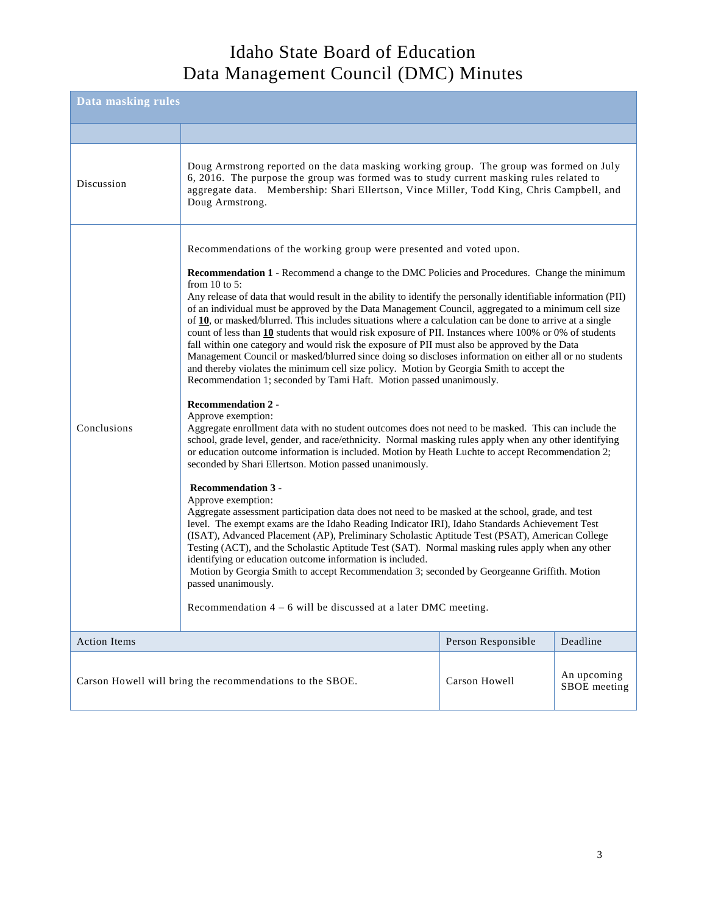| Data masking rules                                                         |                                                                                                                                                                                                                                                                                                                                                                                                                                                                                                                                                                                                                                                                                                                                                                                                                                                                                                                                                          |                             |          |  |
|----------------------------------------------------------------------------|----------------------------------------------------------------------------------------------------------------------------------------------------------------------------------------------------------------------------------------------------------------------------------------------------------------------------------------------------------------------------------------------------------------------------------------------------------------------------------------------------------------------------------------------------------------------------------------------------------------------------------------------------------------------------------------------------------------------------------------------------------------------------------------------------------------------------------------------------------------------------------------------------------------------------------------------------------|-----------------------------|----------|--|
|                                                                            |                                                                                                                                                                                                                                                                                                                                                                                                                                                                                                                                                                                                                                                                                                                                                                                                                                                                                                                                                          |                             |          |  |
| Discussion                                                                 | Doug Armstrong reported on the data masking working group. The group was formed on July<br>6, 2016. The purpose the group was formed was to study current masking rules related to<br>aggregate data. Membership: Shari Ellertson, Vince Miller, Todd King, Chris Campbell, and<br>Doug Armstrong.                                                                                                                                                                                                                                                                                                                                                                                                                                                                                                                                                                                                                                                       |                             |          |  |
|                                                                            | Recommendations of the working group were presented and voted upon.                                                                                                                                                                                                                                                                                                                                                                                                                                                                                                                                                                                                                                                                                                                                                                                                                                                                                      |                             |          |  |
| Conclusions                                                                | <b>Recommendation 1</b> - Recommend a change to the DMC Policies and Procedures. Change the minimum<br>from $10$ to 5:<br>Any release of data that would result in the ability to identify the personally identifiable information (PII)<br>of an individual must be approved by the Data Management Council, aggregated to a minimum cell size<br>of $10$ , or masked/blurred. This includes situations where a calculation can be done to arrive at a single<br>count of less than $10$ students that would risk exposure of PII. Instances where 100% or 0% of students<br>fall within one category and would risk the exposure of PII must also be approved by the Data<br>Management Council or masked/blurred since doing so discloses information on either all or no students<br>and thereby violates the minimum cell size policy. Motion by Georgia Smith to accept the<br>Recommendation 1; seconded by Tami Haft. Motion passed unanimously. |                             |          |  |
|                                                                            | <b>Recommendation 2 -</b><br>Approve exemption:<br>Aggregate enrollment data with no student outcomes does not need to be masked. This can include the<br>school, grade level, gender, and race/ethnicity. Normal masking rules apply when any other identifying<br>or education outcome information is included. Motion by Heath Luchte to accept Recommendation 2;<br>seconded by Shari Ellertson. Motion passed unanimously.                                                                                                                                                                                                                                                                                                                                                                                                                                                                                                                          |                             |          |  |
|                                                                            | <b>Recommendation 3 -</b><br>Approve exemption:<br>Aggregate assessment participation data does not need to be masked at the school, grade, and test<br>level. The exempt exams are the Idaho Reading Indicator IRI), Idaho Standards Achievement Test<br>(ISAT), Advanced Placement (AP), Preliminary Scholastic Aptitude Test (PSAT), American College<br>Testing (ACT), and the Scholastic Aptitude Test (SAT). Normal masking rules apply when any other<br>identifying or education outcome information is included.<br>Motion by Georgia Smith to accept Recommendation 3; seconded by Georgeanne Griffith. Motion<br>passed unanimously.                                                                                                                                                                                                                                                                                                          |                             |          |  |
|                                                                            | Recommendation $4 - 6$ will be discussed at a later DMC meeting.                                                                                                                                                                                                                                                                                                                                                                                                                                                                                                                                                                                                                                                                                                                                                                                                                                                                                         |                             |          |  |
| <b>Action Items</b>                                                        |                                                                                                                                                                                                                                                                                                                                                                                                                                                                                                                                                                                                                                                                                                                                                                                                                                                                                                                                                          | Person Responsible          | Deadline |  |
| Carson Howell<br>Carson Howell will bring the recommendations to the SBOE. |                                                                                                                                                                                                                                                                                                                                                                                                                                                                                                                                                                                                                                                                                                                                                                                                                                                                                                                                                          | An upcoming<br>SBOE meeting |          |  |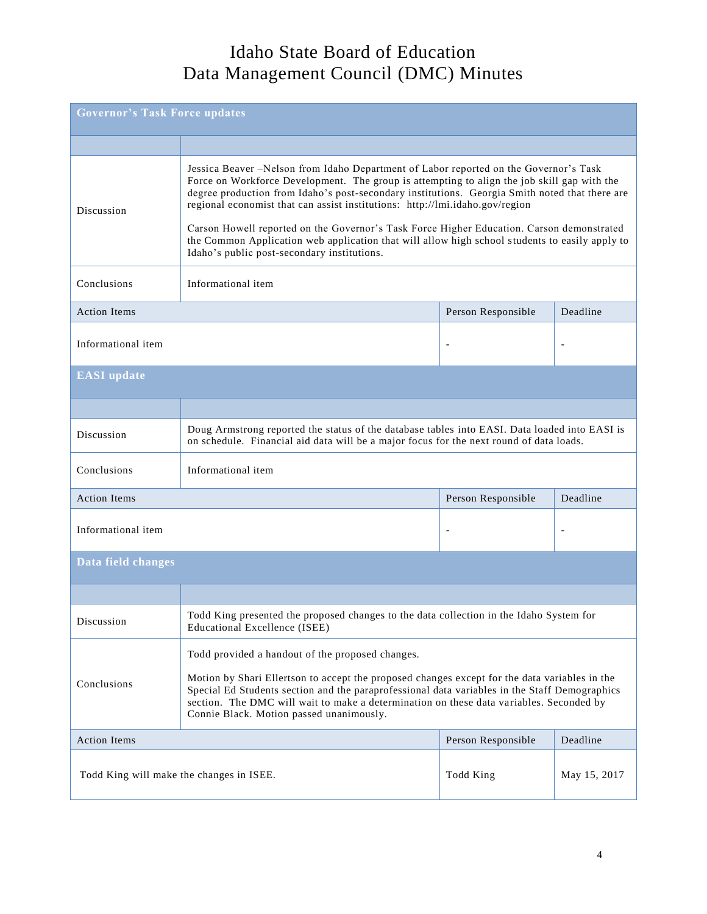| <b>Governor's Task Force updates</b>                  |                                                                                                                                                                                                                                                                                                                                                                                                                                                                                                                                                                                                                      |                    |                          |
|-------------------------------------------------------|----------------------------------------------------------------------------------------------------------------------------------------------------------------------------------------------------------------------------------------------------------------------------------------------------------------------------------------------------------------------------------------------------------------------------------------------------------------------------------------------------------------------------------------------------------------------------------------------------------------------|--------------------|--------------------------|
|                                                       |                                                                                                                                                                                                                                                                                                                                                                                                                                                                                                                                                                                                                      |                    |                          |
| Discussion                                            | Jessica Beaver -Nelson from Idaho Department of Labor reported on the Governor's Task<br>Force on Workforce Development. The group is attempting to align the job skill gap with the<br>degree production from Idaho's post-secondary institutions. Georgia Smith noted that there are<br>regional economist that can assist institutions: http://lmi.idaho.gov/region<br>Carson Howell reported on the Governor's Task Force Higher Education. Carson demonstrated<br>the Common Application web application that will allow high school students to easily apply to<br>Idaho's public post-secondary institutions. |                    |                          |
| Conclusions                                           | Informational item                                                                                                                                                                                                                                                                                                                                                                                                                                                                                                                                                                                                   |                    |                          |
| <b>Action Items</b>                                   |                                                                                                                                                                                                                                                                                                                                                                                                                                                                                                                                                                                                                      | Person Responsible | Deadline                 |
| Informational item                                    |                                                                                                                                                                                                                                                                                                                                                                                                                                                                                                                                                                                                                      |                    | $\overline{\phantom{a}}$ |
| <b>EASI</b> update                                    |                                                                                                                                                                                                                                                                                                                                                                                                                                                                                                                                                                                                                      |                    |                          |
|                                                       |                                                                                                                                                                                                                                                                                                                                                                                                                                                                                                                                                                                                                      |                    |                          |
| Discussion                                            | Doug Armstrong reported the status of the database tables into EASI. Data loaded into EASI is<br>on schedule. Financial aid data will be a major focus for the next round of data loads.                                                                                                                                                                                                                                                                                                                                                                                                                             |                    |                          |
| Conclusions                                           | Informational item                                                                                                                                                                                                                                                                                                                                                                                                                                                                                                                                                                                                   |                    |                          |
| <b>Action Items</b>                                   |                                                                                                                                                                                                                                                                                                                                                                                                                                                                                                                                                                                                                      | Person Responsible | Deadline                 |
| Informational item                                    |                                                                                                                                                                                                                                                                                                                                                                                                                                                                                                                                                                                                                      |                    |                          |
| Data field changes                                    |                                                                                                                                                                                                                                                                                                                                                                                                                                                                                                                                                                                                                      |                    |                          |
|                                                       |                                                                                                                                                                                                                                                                                                                                                                                                                                                                                                                                                                                                                      |                    |                          |
| Discussion                                            | Todd King presented the proposed changes to the data collection in the Idaho System for<br><b>Educational Excellence (ISEE)</b>                                                                                                                                                                                                                                                                                                                                                                                                                                                                                      |                    |                          |
|                                                       | Todd provided a handout of the proposed changes.                                                                                                                                                                                                                                                                                                                                                                                                                                                                                                                                                                     |                    |                          |
| Conclusions                                           | Motion by Shari Ellertson to accept the proposed changes except for the data variables in the<br>Special Ed Students section and the paraprofessional data variables in the Staff Demographics<br>section. The DMC will wait to make a determination on these data variables. Seconded by<br>Connie Black. Motion passed unanimously.                                                                                                                                                                                                                                                                                |                    |                          |
| <b>Action Items</b>                                   |                                                                                                                                                                                                                                                                                                                                                                                                                                                                                                                                                                                                                      | Person Responsible | Deadline                 |
| Todd King will make the changes in ISEE.<br>Todd King |                                                                                                                                                                                                                                                                                                                                                                                                                                                                                                                                                                                                                      | May 15, 2017       |                          |